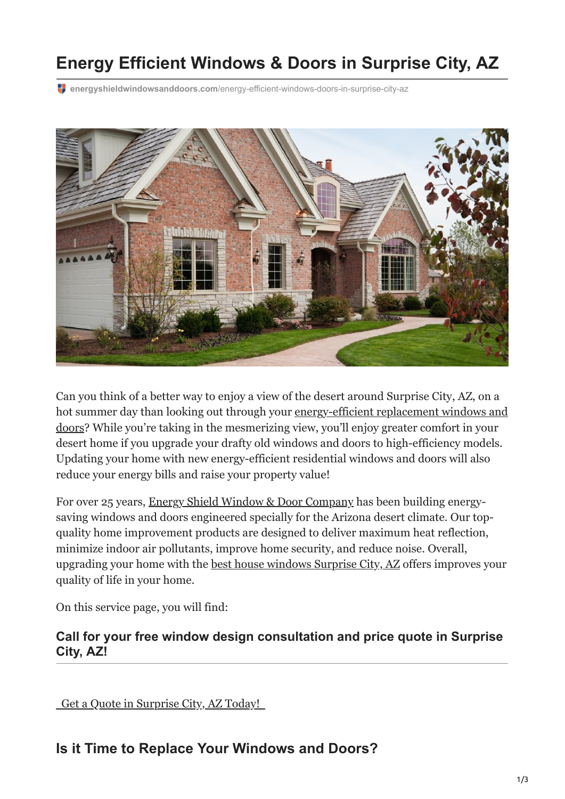# **Energy Efficient Windows & Doors in Surprise City, AZ**

**energyshieldwindowsanddoors.com**[/energy-efficient-windows-doors-in-surprise-city-az](https://energyshieldwindowsanddoors.com/energy-efficient-windows-doors-in-surprise-city-az/#Replace-Your-Windows-and-Doors)



Can you think of a better way to enjoy a view of the desert around Surprise City, AZ, on a [hot summer day than looking out through your energy-efficient replacement windows and](https://energyshieldwindowsanddoors.com/replacement-windows/) doors? While you're taking in the mesmerizing view, you'll enjoy greater comfort in your desert home if you upgrade your drafty old windows and doors to high-efficiency models. Updating your home with new energy-efficient residential windows and doors will also reduce your energy bills and raise your property value!

For over 25 years, [Energy Shield Window & Door Company](https://energyshieldwindowsanddoors.com/) has been building energysaving windows and doors engineered specially for the Arizona desert climate. Our topquality home improvement products are designed to deliver maximum heat reflection, minimize indoor air pollutants, improve home security, and reduce noise. Overall, upgrading your home with the [best house windows Surprise City, AZ](https://energyshieldwindowsanddoors.com/replacement-windows/) offers improves your quality of life in your home.

On this service page, you will find:

#### **Call for your free window design consultation and price quote in Surprise City, AZ!**

 [Get a Quote in Surprise City, AZ Today!](https://energyshieldwindowsanddoors.com/contact/) 

## **Is it Time to Replace Your Windows and Doors?**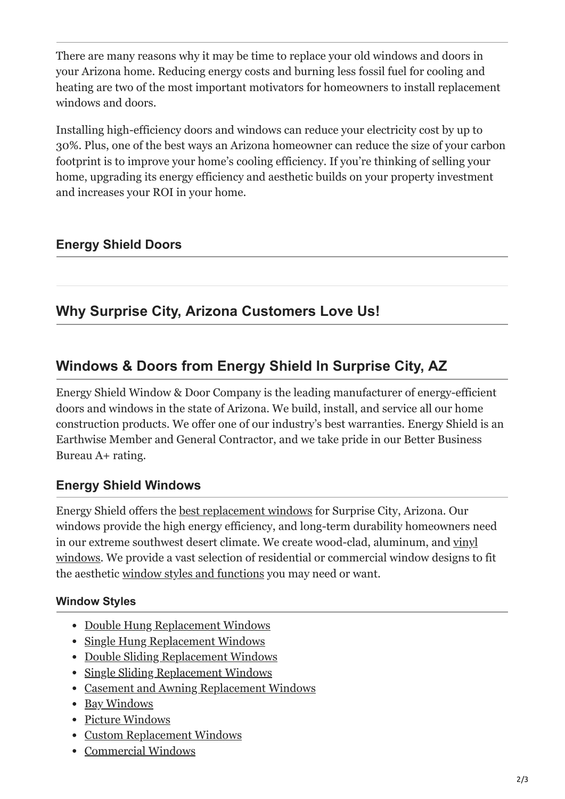There are many reasons why it may be time to replace your old windows and doors in your Arizona home. Reducing energy costs and burning less fossil fuel for cooling and heating are two of the most important motivators for homeowners to install replacement windows and doors.

Installing high-efficiency doors and windows can reduce your electricity cost by up to 30%. Plus, one of the best ways an Arizona homeowner can reduce the size of your carbon footprint is to improve your home's cooling efficiency. If you're thinking of selling your home, upgrading its energy efficiency and aesthetic builds on your property investment and increases your ROI in your home.

### **Energy Shield Doors**

# **Why Surprise City, Arizona Customers Love Us!**

# **Windows & Doors from Energy Shield In Surprise City, AZ**

Energy Shield Window & Door Company is the leading manufacturer of energy-efficient doors and windows in the state of Arizona. We build, install, and service all our home construction products. We offer one of our industry's best warranties. Energy Shield is an Earthwise Member and General Contractor, and we take pride in our Better Business Bureau A+ rating.

#### **Energy Shield Windows**

Energy Shield offers the [best replacement windows](https://energyshieldwindowsanddoors.com/replacement-windows/) for Surprise City, Arizona. Our windows provide the high energy efficiency, and long-term durability homeowners need [in our extreme southwest desert climate. We create wood-clad, aluminum, and vinyl](https://energyshieldwindowsanddoors.com/vinyl-windows-arizona/) windows. We provide a vast selection of residential or commercial window designs to fit the aesthetic [window styles and functions](https://energyshieldwindowsanddoors.com/window-features-to-consider-when-buying-a-house/) you may need or want.

#### **Window Styles**

- [Double Hung Replacement Windows](https://energyshieldwindowsanddoors.com/double-hung-windows/)
- [Single Hung Replacement Windows](https://energyshieldwindowsanddoors.com/single-hung-windows/)
- [Double Sliding Replacement Windows](https://energyshieldwindowsanddoors.com/double-sliding-windows/)
- [Single Sliding Replacement Windows](https://energyshieldwindowsanddoors.com/single-sliding-windows/)
- [Casement and Awning Replacement Windows](https://energyshieldwindowsanddoors.com/casement-and-awning-windows/)
- [Bay Windows](https://energyshieldwindowsanddoors.com/bay-and-bow-windows/)
- [Picture Windows](https://energyshieldwindowsanddoors.com/picture-window-and-custom-shapes/)
- [Custom Replacement Windows](https://energyshieldwindowsanddoors.com/picture-window-and-custom-shapes/)
- [Commercial Windows](https://energyshieldwindowsanddoors.com/arizona-commercial-windows/)